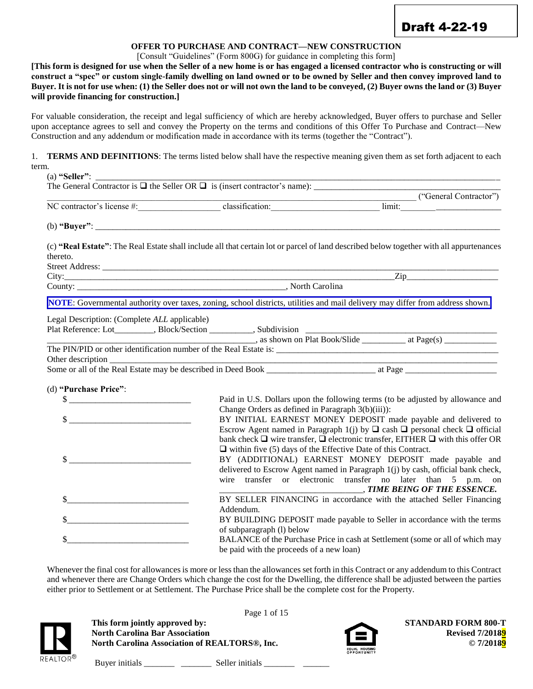# Draft 4-22-19

#### **OFFER TO PURCHASE AND CONTRACT—NEW CONSTRUCTION**

[Consult "Guidelines" (Form 800G) for guidance in completing this form]

**[This form is designed for use when the Seller of a new home is or has engaged a licensed contractor who is constructing or will construct a "spec" or custom single-family dwelling on land owned or to be owned by Seller and then convey improved land to Buyer. It is not for use when: (1) the Seller does not or will not own the land to be conveyed, (2) Buyer owns the land or (3) Buyer will provide financing for construction.]**

For valuable consideration, the receipt and legal sufficiency of which are hereby acknowledged, Buyer offers to purchase and Seller upon acceptance agrees to sell and convey the Property on the terms and conditions of this Offer To Purchase and Contract—New Construction and any addendum or modification made in accordance with its terms (together the "Contract").

1. **TERMS AND DEFINITIONS**: The terms listed below shall have the respective meaning given them as set forth adjacent to each term.

| (a) "Seller": $\qquad \qquad$                                                                                         |                                                   |                                                                                                                                         |
|-----------------------------------------------------------------------------------------------------------------------|---------------------------------------------------|-----------------------------------------------------------------------------------------------------------------------------------------|
|                                                                                                                       |                                                   | The General Contractor is $\Box$ the Seller OR $\Box$ is (insert contractor's name): $\Box$ ("General Contractor")                      |
|                                                                                                                       |                                                   |                                                                                                                                         |
|                                                                                                                       |                                                   | NC contractor's license #: classification: classification: classification: classification:                                              |
|                                                                                                                       |                                                   |                                                                                                                                         |
|                                                                                                                       |                                                   | (c) "Real Estate": The Real Estate shall include all that certain lot or parcel of land described below together with all appurtenances |
| thereto.                                                                                                              |                                                   |                                                                                                                                         |
|                                                                                                                       |                                                   |                                                                                                                                         |
|                                                                                                                       |                                                   |                                                                                                                                         |
|                                                                                                                       |                                                   |                                                                                                                                         |
|                                                                                                                       |                                                   | NOTE: Governmental authority over taxes, zoning, school districts, utilities and mail delivery may differ from address shown.           |
| Legal Description: (Complete ALL applicable)                                                                          |                                                   |                                                                                                                                         |
|                                                                                                                       |                                                   |                                                                                                                                         |
|                                                                                                                       |                                                   |                                                                                                                                         |
|                                                                                                                       |                                                   |                                                                                                                                         |
| Other description                                                                                                     |                                                   |                                                                                                                                         |
|                                                                                                                       |                                                   |                                                                                                                                         |
|                                                                                                                       |                                                   |                                                                                                                                         |
| (d) "Purchase Price":                                                                                                 |                                                   |                                                                                                                                         |
| $\frac{\text{S}}{\text{S}}$                                                                                           |                                                   | Paid in U.S. Dollars upon the following terms (to be adjusted by allowance and                                                          |
|                                                                                                                       | Change Orders as defined in Paragraph 3(b)(iii)): |                                                                                                                                         |
| $\sim$                                                                                                                |                                                   | BY INITIAL EARNEST MONEY DEPOSIT made payable and delivered to                                                                          |
|                                                                                                                       |                                                   | Escrow Agent named in Paragraph 1(j) by $\Box$ cash $\Box$ personal check $\Box$ official                                               |
|                                                                                                                       |                                                   | bank check $\Box$ wire transfer, $\Box$ electronic transfer, EITHER $\Box$ with this offer OR                                           |
|                                                                                                                       |                                                   | $\Box$ within five (5) days of the Effective Date of this Contract.                                                                     |
| $\mathbb{S}$                                                                                                          |                                                   | BY (ADDITIONAL) EARNEST MONEY DEPOSIT made payable and                                                                                  |
|                                                                                                                       |                                                   | delivered to Escrow Agent named in Paragraph 1(j) by cash, official bank check,                                                         |
|                                                                                                                       |                                                   | wire transfer or electronic transfer no later than 5 p.m. on                                                                            |
|                                                                                                                       |                                                   | TIME BEING OF THE ESSENCE.                                                                                                              |
| \$                                                                                                                    |                                                   | BY SELLER FINANCING in accordance with the attached Seller Financing                                                                    |
|                                                                                                                       | Addendum.                                         |                                                                                                                                         |
| <u> 1980 - Jan Barbarat, martin da kasas da kasas da kasas da kasas da kasas da kasas da kasas da kasas da kasas </u> |                                                   | BY BUILDING DEPOSIT made payable to Seller in accordance with the terms                                                                 |
|                                                                                                                       | of subparagraph (1) below                         |                                                                                                                                         |
|                                                                                                                       |                                                   | BALANCE of the Purchase Price in cash at Settlement (some or all of which may                                                           |
|                                                                                                                       | be paid with the proceeds of a new loan)          |                                                                                                                                         |

Whenever the final cost for allowances is more or less than the allowances set forth in this Contract or any addendum to this Contract and whenever there are Change Orders which change the cost for the Dwelling, the difference shall be adjusted between the parties either prior to Settlement or at Settlement. The Purchase Price shall be the complete cost for the Property.

Page 1 of 15



**This form jointly approved by: North Carolina Bar Association North Carolina Association of REALTORS®, Inc.**



**STANDARD FORM 800-T Revised 7/20189 © 7/20189**

Buyer initials \_\_\_\_\_\_\_\_\_\_ \_\_\_\_\_\_\_\_\_\_\_\_\_ Seller initials \_\_\_\_\_\_\_\_\_\_\_\_\_\_\_\_\_\_\_\_\_\_\_\_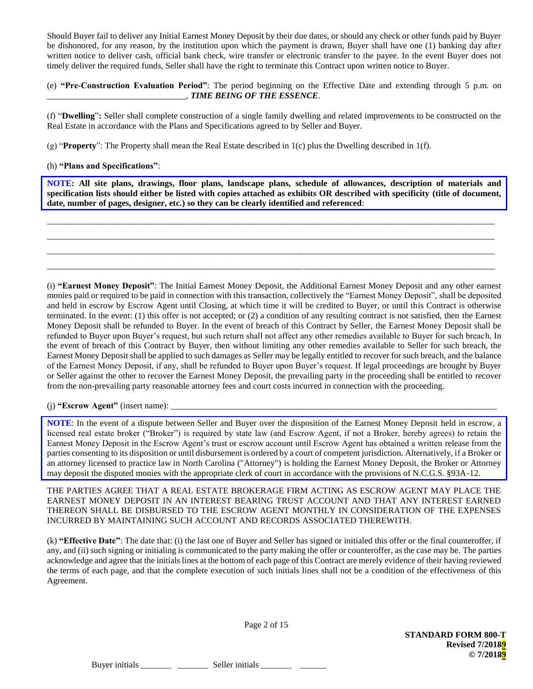Should Buyer fail to deliver any Initial Earnest Money Deposit by their due dates, or should any check or other funds paid by Buyer be dishonored, for any reason, by the institution upon which the payment is drawn, Buyer shall have one (1) banking day after written notice to deliver cash, official bank check, wire transfer or electronic transfer to the payee. In the event Buyer does not timely deliver the required funds, Seller shall have the right to terminate this Contract upon written notice to Buyer.

(e) **"Pre-Construction Evaluation Period"**: The period beginning on the Effective Date and extending through 5 p.m. on \_\_\_\_\_\_\_\_\_\_\_\_\_\_\_\_\_\_\_\_\_\_\_\_\_\_\_\_\_\_\_\_, *TIME BEING OF THE ESSENCE*.

(f) "**Dwelling**"**:** Seller shall complete construction of a single family dwelling and related improvements to be constructed on the Real Estate in accordance with the Plans and Specifications agreed to by Seller and Buyer.

(g) "**Property**": The Property shall mean the Real Estate described in 1(c) plus the Dwelling described in 1(f).

#### (h) **"Plans and Specifications"**:

**NOTE: All site plans, drawings, floor plans, landscape plans, schedule of allowances, description of materials and specification lists should either be listed with copies attached as exhibits OR described with specificity (title of document, date, number of pages, designer, etc.) so they can be clearly identified and referenced**:

\_\_\_\_\_\_\_\_\_\_\_\_\_\_\_\_\_\_\_\_\_\_\_\_\_\_\_\_\_\_\_\_\_\_\_\_\_\_\_\_\_\_\_\_\_\_\_\_\_\_\_\_\_\_\_\_\_\_\_\_\_\_\_\_\_\_\_\_\_\_\_\_\_\_\_\_\_\_\_\_\_\_\_\_\_\_\_\_\_\_\_\_\_\_\_\_\_\_\_\_\_\_\_ \_\_\_\_\_\_\_\_\_\_\_\_\_\_\_\_\_\_\_\_\_\_\_\_\_\_\_\_\_\_\_\_\_\_\_\_\_\_\_\_\_\_\_\_\_\_\_\_\_\_\_\_\_\_\_\_\_\_\_\_\_\_\_\_\_\_\_\_\_\_\_\_\_\_\_\_\_\_\_\_\_\_\_\_\_\_\_\_\_\_\_\_\_\_\_\_\_\_\_\_\_\_\_ \_\_\_\_\_\_\_\_\_\_\_\_\_\_\_\_\_\_\_\_\_\_\_\_\_\_\_\_\_\_\_\_\_\_\_\_\_\_\_\_\_\_\_\_\_\_\_\_\_\_\_\_\_\_\_\_\_\_\_\_\_\_\_\_\_\_\_\_\_\_\_\_\_\_\_\_\_\_\_\_\_\_\_\_\_\_\_\_\_\_\_\_\_\_\_\_\_\_\_\_\_\_\_ \_\_\_\_\_\_\_\_\_\_\_\_\_\_\_\_\_\_\_\_\_\_\_\_\_\_\_\_\_\_\_\_\_\_\_\_\_\_\_\_\_\_\_\_\_\_\_\_\_\_\_\_\_\_\_\_\_\_\_\_\_\_\_\_\_\_\_\_\_\_\_\_\_\_\_\_\_\_\_\_\_\_\_\_\_\_\_\_\_\_\_\_\_\_\_\_\_\_\_\_\_\_\_

(i) **"Earnest Money Deposit"**: The Initial Earnest Money Deposit, the Additional Earnest Money Deposit and any other earnest monies paid or required to be paid in connection with this transaction, collectively the "Earnest Money Deposit", shall be deposited and held in escrow by Escrow Agent until Closing, at which time it will be credited to Buyer, or until this Contract is otherwise terminated. In the event: (1) this offer is not accepted; or (2) a condition of any resulting contract is not satisfied, then the Earnest Money Deposit shall be refunded to Buyer. In the event of breach of this Contract by Seller, the Earnest Money Deposit shall be refunded to Buyer upon Buyer's request, but such return shall not affect any other remedies available to Buyer for such breach. In the event of breach of this Contract by Buyer, then without limiting any other remedies available to Seller for such breach, the Earnest Money Deposit shall be applied to such damages as Seller may be legally entitled to recover for such breach, and the balance of the Earnest Money Deposit, if any, shall be refunded to Buyer upon Buyer's request. If legal proceedings are brought by Buyer or Seller against the other to recover the Earnest Money Deposit, the prevailing party in the proceeding shall be entitled to recover from the non-prevailing party reasonable attorney fees and court costs incurred in connection with the proceeding.

(j) **"Escrow Agent"** (insert name): \_\_\_\_\_\_\_\_\_\_\_\_\_\_\_\_\_\_\_\_\_\_\_\_\_\_\_\_\_\_\_\_\_\_\_\_\_\_\_\_\_\_\_\_\_\_\_\_\_\_\_\_\_\_\_\_\_\_\_\_\_\_\_\_\_\_\_\_\_\_\_\_\_\_\_

**NOTE**: In the event of a dispute between Seller and Buyer over the disposition of the Earnest Money Deposit held in escrow, a licensed real estate broker ("Broker") is required by state law (and Escrow Agent, if not a Broker, hereby agrees) to retain the Earnest Money Deposit in the Escrow Agent's trust or escrow account until Escrow Agent has obtained a written release from the parties consenting to its disposition or until disbursement is ordered by a court of competent jurisdiction. Alternatively, if a Broker or an attorney licensed to practice law in North Carolina ("Attorney") is holding the Earnest Money Deposit, the Broker or Attorney may deposit the disputed monies with the appropriate clerk of court in accordance with the provisions of N.C.G.S. §93A-12.

THE PARTIES AGREE THAT A REAL ESTATE BROKERAGE FIRM ACTING AS ESCROW AGENT MAY PLACE THE EARNEST MONEY DEPOSIT IN AN INTEREST BEARING TRUST ACCOUNT AND THAT ANY INTEREST EARNED THEREON SHALL BE DISBURSED TO THE ESCROW AGENT MONTHLY IN CONSIDERATION OF THE EXPENSES INCURRED BY MAINTAINING SUCH ACCOUNT AND RECORDS ASSOCIATED THEREWITH.

(k) **"Effective Date"**: The date that: (i) the last one of Buyer and Seller has signed or initialed this offer or the final counteroffer, if any, and (ii) such signing or initialing is communicated to the party making the offer or counteroffer, as the case may be. The parties acknowledge and agree that the initials lines at the bottom of each page of this Contract are merely evidence of their having reviewed the terms of each page, and that the complete execution of such initials lines shall not be a condition of the effectiveness of this Agreement.

Page 2 of 15

**STANDARD FORM 800-T**

**Revised 7/20189 © 7/20189**

Buyer initials \_\_\_\_\_\_\_\_\_ \_\_\_\_\_\_\_\_\_\_ Seller initials \_\_\_\_\_\_\_\_ \_\_\_\_\_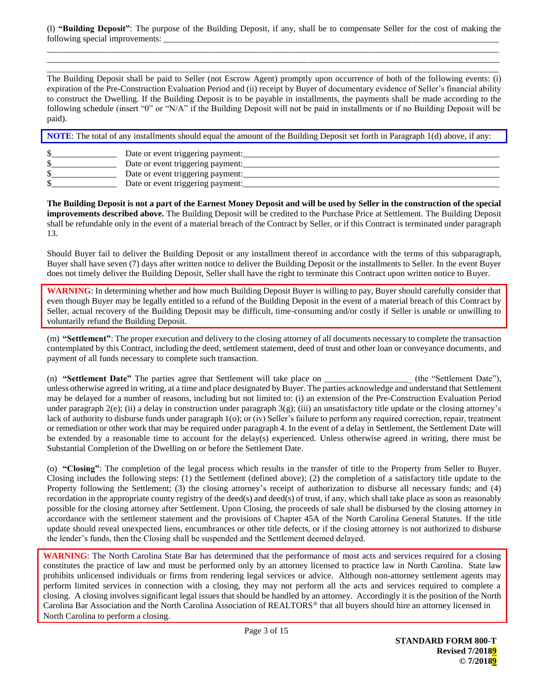(l) **"Building Deposit"**: The purpose of the Building Deposit, if any, shall be to compensate Seller for the cost of making the following special improvements: \_\_\_\_\_\_\_\_\_\_\_\_\_\_\_\_\_\_\_\_\_\_\_\_\_\_\_\_\_\_\_\_\_\_\_\_\_\_\_\_\_\_\_\_\_\_\_\_\_\_\_\_\_\_\_\_\_\_\_\_\_\_\_\_\_\_\_\_\_\_\_\_\_\_\_\_\_\_\_\_\_\_\_\_\_\_\_\_\_\_\_\_\_\_\_\_\_\_\_\_\_\_\_\_

\_\_\_\_\_\_\_\_\_\_\_\_\_\_\_\_\_\_\_\_\_\_\_\_\_\_\_\_\_\_\_\_\_\_\_\_\_\_\_\_\_\_\_\_\_\_\_\_\_\_\_\_\_\_\_\_\_\_\_\_\_\_\_\_\_\_\_\_\_\_\_\_\_\_\_\_\_\_\_\_\_\_\_\_\_\_\_\_\_\_\_\_\_\_\_\_\_\_\_\_\_\_\_\_ \_\_\_\_\_\_\_\_\_\_\_\_\_\_\_\_\_\_\_\_\_\_\_\_\_\_\_\_\_\_\_\_\_\_\_\_\_\_\_\_\_\_\_\_\_\_\_\_\_\_\_\_\_\_\_\_\_\_\_\_\_\_\_\_\_\_\_\_\_\_\_\_\_\_\_\_\_\_\_\_\_\_\_\_\_\_\_\_\_\_\_\_\_\_\_\_\_\_\_\_\_\_\_\_

The Building Deposit shall be paid to Seller (not Escrow Agent) promptly upon occurrence of both of the following events: (i) expiration of the Pre-Construction Evaluation Period and (ii) receipt by Buyer of documentary evidence of Seller's financial ability to construct the Dwelling. If the Building Deposit is to be payable in installments, the payments shall be made according to the following schedule (insert "0" or "N/A" if the Building Deposit will not be paid in installments or if no Building Deposit will be paid).

**NOTE**: The total of any installments should equal the amount of the Building Deposit set forth in Paragraph 1(d) above, if any:

| Date or event triggering payment: |
|-----------------------------------|
| Date or event triggering payment: |
| Date or event triggering payment: |
| Date or event triggering payment: |

**The Building Deposit is not a part of the Earnest Money Deposit and will be used by Seller in the construction of the special improvements described above.** The Building Deposit will be credited to the Purchase Price at Settlement. The Building Deposit shall be refundable only in the event of a material breach of the Contract by Seller, or if this Contract is terminated under paragraph 13.

Should Buyer fail to deliver the Building Deposit or any installment thereof in accordance with the terms of this subparagraph, Buyer shall have seven (7) days after written notice to deliver the Building Deposit or the installments to Seller. In the event Buyer does not timely deliver the Building Deposit, Seller shall have the right to terminate this Contract upon written notice to Buyer.

**WARNING**: In determining whether and how much Building Deposit Buyer is willing to pay, Buyer should carefully consider that even though Buyer may be legally entitled to a refund of the Building Deposit in the event of a material breach of this Contract by Seller, actual recovery of the Building Deposit may be difficult, time-consuming and/or costly if Seller is unable or unwilling to voluntarily refund the Building Deposit.

(m) **"Settlement"**: The proper execution and delivery to the closing attorney of all documents necessary to complete the transaction contemplated by this Contract, including the deed, settlement statement, deed of trust and other loan or conveyance documents, and payment of all funds necessary to complete such transaction.

(n) **"Settlement Date"** The parties agree that Settlement will take place on \_\_\_\_\_\_\_\_\_\_\_\_\_\_\_\_\_\_\_\_ (the "Settlement Date"), unless otherwise agreed in writing, at a time and place designated by Buyer. The parties acknowledge and understand that Settlement may be delayed for a number of reasons, including but not limited to: (i) an extension of the Pre-Construction Evaluation Period under paragraph  $2(e)$ ; (ii) a delay in construction under paragraph  $3(g)$ ; (iii) an unsatisfactory title update or the closing attorney's lack of authority to disburse funds under paragraph 1(o); or (iv) Seller's failure to perform any required correction, repair, treatment or remediation or other work that may be required under paragraph 4. In the event of a delay in Settlement, the Settlement Date will be extended by a reasonable time to account for the delay(s) experienced. Unless otherwise agreed in writing, there must be Substantial Completion of the Dwelling on or before the Settlement Date.

(o) **"Closing"**: The completion of the legal process which results in the transfer of title to the Property from Seller to Buyer. Closing includes the following steps: (1) the Settlement (defined above); (2) the completion of a satisfactory title update to the Property following the Settlement; (3) the closing attorney's receipt of authorization to disburse all necessary funds; and (4) recordation in the appropriate county registry of the deed(s) and deed(s) of trust, if any, which shall take place as soon as reasonably possible for the closing attorney after Settlement. Upon Closing, the proceeds of sale shall be disbursed by the closing attorney in accordance with the settlement statement and the provisions of Chapter 45A of the North Carolina General Statutes. If the title update should reveal unexpected liens, encumbrances or other title defects, or if the closing attorney is not authorized to disburse the lender's funds, then the Closing shall be suspended and the Settlement deemed delayed.

**WARNING**: The North Carolina State Bar has determined that the performance of most acts and services required for a closing constitutes the practice of law and must be performed only by an attorney licensed to practice law in North Carolina. State law prohibits unlicensed individuals or firms from rendering legal services or advice. Although non-attorney settlement agents may perform limited services in connection with a closing, they may not perform all the acts and services required to complete a closing. A closing involves significant legal issues that should be handled by an attorney. Accordingly it is the position of the North Carolina Bar Association and the North Carolina Association of REALTORS® that all buyers should hire an attorney licensed in North Carolina to perform a closing.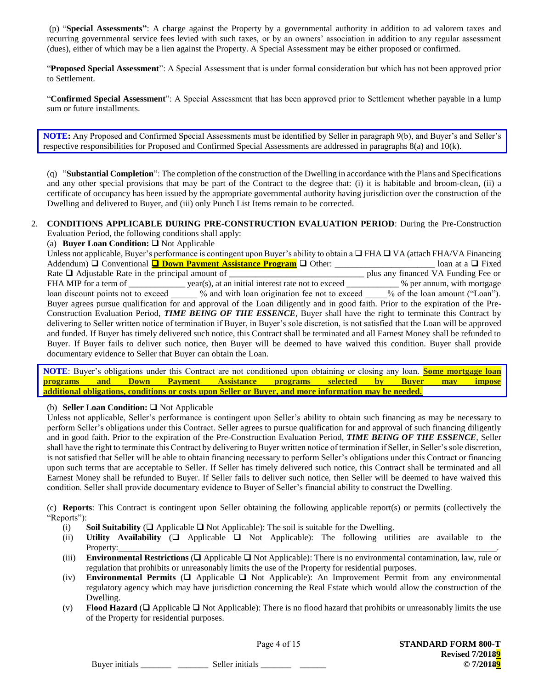(p) "**Special Assessments"**: A charge against the Property by a governmental authority in addition to ad valorem taxes and recurring governmental service fees levied with such taxes, or by an owners' association in addition to any regular assessment (dues), either of which may be a lien against the Property. A Special Assessment may be either proposed or confirmed.

"**Proposed Special Assessment**": A Special Assessment that is under formal consideration but which has not been approved prior to Settlement.

"**Confirmed Special Assessment**": A Special Assessment that has been approved prior to Settlement whether payable in a lump sum or future installments.

**NOTE:** Any Proposed and Confirmed Special Assessments must be identified by Seller in paragraph 9(b), and Buyer's and Seller's respective responsibilities for Proposed and Confirmed Special Assessments are addressed in paragraphs 8(a) and 10(k).

(q) "**Substantial Completion**": The completion of the construction of the Dwelling in accordance with the Plans and Specifications and any other special provisions that may be part of the Contract to the degree that: (i) it is habitable and broom-clean, (ii) a certificate of occupancy has been issued by the appropriate governmental authority having jurisdiction over the construction of the Dwelling and delivered to Buyer, and (iii) only Punch List Items remain to be corrected.

#### 2. **CONDITIONS APPLICABLE DURING PRE-CONSTRUCTION EVALUATION PERIOD**: During the Pre-Construction Evaluation Period, the following conditions shall apply:

#### (a) **Buyer Loan Condition:**  $\Box$  Not Applicable

Unless not applicable, Buyer's performance is contingent upon Buyer's ability to obtain a  $\Box$  FHA  $\Box$  VA (attach FHA/VA Financing Addendum) **Q** Conventional **Q Down Payment Assistance Program Q** Other: \_\_\_\_\_\_\_\_\_\_\_\_\_\_\_\_\_\_\_\_\_\_\_ loan at a **Q** Fixed Rate Adjustable Rate in the principal amount of \_\_\_\_\_\_\_\_\_\_\_\_\_\_\_\_\_\_\_\_\_\_\_\_\_\_\_\_\_\_\_ plus any financed VA Funding Fee or FHA MIP for a term of \_\_\_\_\_\_\_\_\_ year(s), at an initial interest rate not to exceed \_\_\_\_\_\_\_ % per annum, with mortgage loan discount points not to exceed \_\_\_\_% and with loan origination fee not to exceed \_\_\_\_% of the loan a loan discount points not to exceed  $\%$  and with loan origination fee not to exceed Buyer agrees pursue qualification for and approval of the Loan diligently and in good faith. Prior to the expiration of the Pre-Construction Evaluation Period, *TIME BEING OF THE ESSENCE,* Buyer shall have the right to terminate this Contract by delivering to Seller written notice of termination if Buyer, in Buyer's sole discretion, is not satisfied that the Loan will be approved and funded. If Buyer has timely delivered such notice, this Contract shall be terminated and all Earnest Money shall be refunded to Buyer. If Buyer fails to deliver such notice, then Buyer will be deemed to have waived this condition. Buyer shall provide documentary evidence to Seller that Buyer can obtain the Loan.

**NOTE**: Buyer's obligations under this Contract are not conditioned upon obtaining or closing any loan. **Some mortgage loan programs and Down Payment Assistance programs selected by Buyer may impose additional obligations, conditions or costs upon Seller or Buyer, and more information may be needed.**

(b) **Seller Loan Condition:**  $\Box$  Not Applicable

Unless not applicable, Seller's performance is contingent upon Seller's ability to obtain such financing as may be necessary to perform Seller's obligations under this Contract. Seller agrees to pursue qualification for and approval of such financing diligently and in good faith. Prior to the expiration of the Pre-Construction Evaluation Period, *TIME BEING OF THE ESSENCE,* Seller shall have the right to terminate this Contract by delivering to Buyer written notice of termination if Seller, in Seller's sole discretion, is not satisfied that Seller will be able to obtain financing necessary to perform Seller's obligations under this Contract or financing upon such terms that are acceptable to Seller. If Seller has timely delivered such notice, this Contract shall be terminated and all Earnest Money shall be refunded to Buyer. If Seller fails to deliver such notice, then Seller will be deemed to have waived this condition. Seller shall provide documentary evidence to Buyer of Seller's financial ability to construct the Dwelling.

(c) **Reports**: This Contract is contingent upon Seller obtaining the following applicable report(s) or permits (collectively the "Reports":

- (i) **Soil Suitability** ( $\Box$  Applicable  $\Box$  Not Applicable): The soil is suitable for the Dwelling.
- (ii) **Utility Availability**  $(\Box)$  Applicable  $(\Box)$  Not Applicable): The following utilities are available to the Property:\_\_\_\_\_\_\_\_\_\_\_\_\_\_\_\_\_\_\_\_\_\_\_\_\_\_\_\_\_\_\_\_\_\_\_\_\_\_\_\_\_\_\_\_\_\_\_\_\_\_\_\_\_\_\_\_\_\_\_\_\_\_\_\_\_\_\_\_\_\_\_\_\_\_\_\_\_\_\_\_\_\_\_\_\_\_\_.
- (iii) **Environmental Restrictions** ( $\Box$  Applicable  $\Box$  Not Applicable): There is no environmental contamination, law, rule or regulation that prohibits or unreasonably limits the use of the Property for residential purposes.
- (iv) **Environmental Permits** ( $\square$  Applicable  $\square$  Not Applicable): An Improvement Permit from any environmental regulatory agency which may have jurisdiction concerning the Real Estate which would allow the construction of the Dwelling.
- (v) **Flood Hazard** ( $\Box$  Applicable  $\Box$  Not Applicable): There is no flood hazard that prohibits or unreasonably limits the use of the Property for residential purposes.

Page 4 of 15

Buyer initials \_\_\_\_\_\_\_\_ \_\_\_\_\_\_\_\_\_\_\_ Seller initials \_\_\_\_\_\_\_\_ \_\_\_\_\_\_\_\_\_\_\_\_\_\_\_\_\_\_\_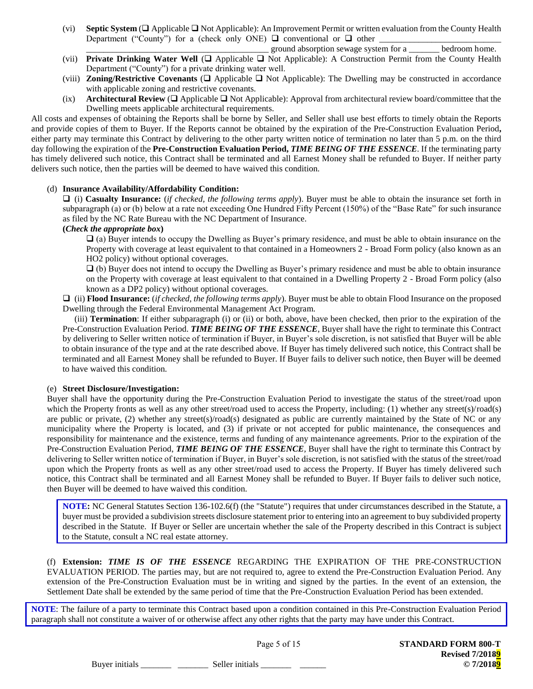- (vi) **Septic System** ( $\Box$  Applicable  $\Box$  Not Applicable): An Improvement Permit or written evaluation from the County Health Department ("County") for a (check only ONE)  $\Box$  conventional or  $\Box$  other
	- \_\_\_\_\_\_\_\_\_\_\_\_\_\_\_\_\_\_\_\_\_\_\_\_\_\_\_\_\_\_\_\_\_\_\_\_\_\_\_\_\_\_ ground absorption sewage system for a \_\_\_\_\_\_\_ bedroom home.
- (vii) **Private Drinking Water Well** ( $\square$  Applicable  $\square$  Not Applicable): A Construction Permit from the County Health Department ("County") for a private drinking water well.
- (viii) **Zoning/Restrictive Covenants** ( $\Box$  Applicable  $\Box$  Not Applicable): The Dwelling may be constructed in accordance with applicable zoning and restrictive covenants.
- (ix) **Architectural Review** ( $\Box$  Applicable  $\Box$  Not Applicable): Approval from architectural review board/committee that the Dwelling meets applicable architectural requirements.

All costs and expenses of obtaining the Reports shall be borne by Seller, and Seller shall use best efforts to timely obtain the Reports and provide copies of them to Buyer. If the Reports cannot be obtained by the expiration of the Pre-Construction Evaluation Period**,** either party may terminate this Contract by delivering to the other party written notice of termination no later than 5 p.m. on the third day following the expiration of the **Pre-Construction Evaluation Period,** *TIME BEING OF THE ESSENCE*. If the terminating party has timely delivered such notice, this Contract shall be terminated and all Earnest Money shall be refunded to Buyer. If neither party delivers such notice, then the parties will be deemed to have waived this condition.

#### (d) **Insurance Availability/Affordability Condition:**

 $\Box$  (i) **Casualty Insurance:** (*if checked, the following terms apply*). Buyer must be able to obtain the insurance set forth in subparagraph (a) or (b) below at a rate not exceeding One Hundred Fifty Percent (150%) of the "Base Rate" for such insurance as filed by the NC Rate Bureau with the NC Department of Insurance.

#### **(***Check the appropriate box***)**

 $\Box$  (a) Buyer intends to occupy the Dwelling as Buyer's primary residence, and must be able to obtain insurance on the Property with coverage at least equivalent to that contained in a Homeowners 2 - Broad Form policy (also known as an HO2 policy) without optional coverages.

 $\Box$  (b) Buyer does not intend to occupy the Dwelling as Buyer's primary residence and must be able to obtain insurance on the Property with coverage at least equivalent to that contained in a Dwelling Property 2 - Broad Form policy (also known as a DP2 policy) without optional coverages.

 (ii) **Flood Insurance:** (*if checked, the following terms apply*). Buyer must be able to obtain Flood Insurance on the proposed Dwelling through the Federal Environmental Management Act Program.

(iii) **Termination**: If either subparagraph (i) or (ii) or both, above, have been checked, then prior to the expiration of the Pre-Construction Evaluation Period. *TIME BEING OF THE ESSENCE*, Buyer shall have the right to terminate this Contract by delivering to Seller written notice of termination if Buyer, in Buyer's sole discretion, is not satisfied that Buyer will be able to obtain insurance of the type and at the rate described above. If Buyer has timely delivered such notice, this Contract shall be terminated and all Earnest Money shall be refunded to Buyer. If Buyer fails to deliver such notice, then Buyer will be deemed to have waived this condition.

#### (e) **Street Disclosure/Investigation:**

Buyer shall have the opportunity during the Pre-Construction Evaluation Period to investigate the status of the street/road upon which the Property fronts as well as any other street/road used to access the Property, including: (1) whether any street(s)/road(s) are public or private, (2) whether any street(s)/road(s) designated as public are currently maintained by the State of NC or any municipality where the Property is located, and (3) if private or not accepted for public maintenance, the consequences and responsibility for maintenance and the existence, terms and funding of any maintenance agreements. Prior to the expiration of the Pre-Construction Evaluation Period, *TIME BEING OF THE ESSENCE,* Buyer shall have the right to terminate this Contract by delivering to Seller written notice of termination if Buyer, in Buyer's sole discretion, is not satisfied with the status of the street/road upon which the Property fronts as well as any other street/road used to access the Property. If Buyer has timely delivered such notice, this Contract shall be terminated and all Earnest Money shall be refunded to Buyer. If Buyer fails to deliver such notice, then Buyer will be deemed to have waived this condition.

**NOTE:** NC General Statutes Section 136-102.6(f) (the "Statute") requires that under circumstances described in the Statute, a buyer must be provided a subdivision streets disclosure statement prior to entering into an agreement to buy subdivided property described in the Statute. If Buyer or Seller are uncertain whether the sale of the Property described in this Contract is subject to the Statute, consult a NC real estate attorney.

(f) **Extension:** *TIME IS OF THE ESSENCE* REGARDING THE EXPIRATION OF THE PRE-CONSTRUCTION EVALUATION PERIOD. The parties may, but are not required to, agree to extend the Pre-Construction Evaluation Period. Any extension of the Pre-Construction Evaluation must be in writing and signed by the parties. In the event of an extension, the Settlement Date shall be extended by the same period of time that the Pre-Construction Evaluation Period has been extended.

**NOTE**: The failure of a party to terminate this Contract based upon a condition contained in this Pre-Construction Evaluation Period paragraph shall not constitute a waiver of or otherwise affect any other rights that the party may have under this Contract.

Page 5 of 15

**STANDARD FORM 800-T Revised 7/20189 © 7/20189**

Buyer initials \_\_\_\_\_\_\_\_\_\_ \_\_\_\_\_\_\_\_\_\_\_\_ Seller initials \_\_\_\_\_\_\_\_\_ \_\_\_\_\_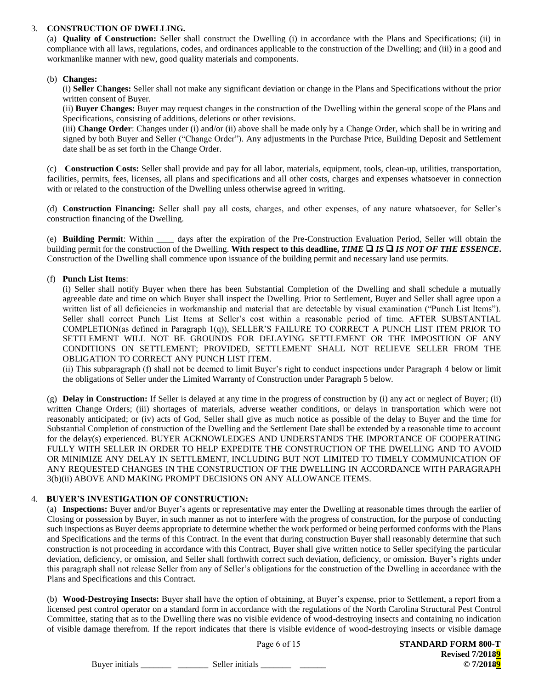# 3. **CONSTRUCTION OF DWELLING.**

(a) **Quality of Construction:** Seller shall construct the Dwelling (i) in accordance with the Plans and Specifications; (ii) in compliance with all laws, regulations, codes, and ordinances applicable to the construction of the Dwelling; and (iii) in a good and workmanlike manner with new, good quality materials and components.

#### (b) **Changes:**

(i) **Seller Changes:** Seller shall not make any significant deviation or change in the Plans and Specifications without the prior written consent of Buyer.

(ii) **Buyer Changes:** Buyer may request changes in the construction of the Dwelling within the general scope of the Plans and Specifications, consisting of additions, deletions or other revisions.

(iii) **Change Order**: Changes under (i) and/or (ii) above shall be made only by a Change Order, which shall be in writing and signed by both Buyer and Seller ("Change Order"). Any adjustments in the Purchase Price, Building Deposit and Settlement date shall be as set forth in the Change Order.

(c) **Construction Costs:** Seller shall provide and pay for all labor, materials, equipment, tools, clean-up, utilities, transportation, facilities, permits, fees, licenses, all plans and specifications and all other costs, charges and expenses whatsoever in connection with or related to the construction of the Dwelling unless otherwise agreed in writing.

(d) **Construction Financing:** Seller shall pay all costs, charges, and other expenses, of any nature whatsoever, for Seller's construction financing of the Dwelling.

(e) **Building Permit**: Within \_\_\_\_ days after the expiration of the Pre-Construction Evaluation Period, Seller will obtain the building permit for the construction of the Dwelling. **With respect to this deadline,** *TIME IS IS NOT OF THE ESSENCE***.** Construction of the Dwelling shall commence upon issuance of the building permit and necessary land use permits.

#### (f) **Punch List Items**:

(i) Seller shall notify Buyer when there has been Substantial Completion of the Dwelling and shall schedule a mutually agreeable date and time on which Buyer shall inspect the Dwelling. Prior to Settlement, Buyer and Seller shall agree upon a written list of all deficiencies in workmanship and material that are detectable by visual examination ("Punch List Items"). Seller shall correct Punch List Items at Seller's cost within a reasonable period of time. AFTER SUBSTANTIAL COMPLETION(as defined in Paragraph 1(q)), SELLER'S FAILURE TO CORRECT A PUNCH LIST ITEM PRIOR TO SETTLEMENT WILL NOT BE GROUNDS FOR DELAYING SETTLEMENT OR THE IMPOSITION OF ANY CONDITIONS ON SETTLEMENT; PROVIDED, SETTLEMENT SHALL NOT RELIEVE SELLER FROM THE OBLIGATION TO CORRECT ANY PUNCH LIST ITEM.

(ii) This subparagraph (f) shall not be deemed to limit Buyer's right to conduct inspections under Paragraph 4 below or limit the obligations of Seller under the Limited Warranty of Construction under Paragraph 5 below.

(g) **Delay in Construction:** If Seller is delayed at any time in the progress of construction by (i) any act or neglect of Buyer; (ii) written Change Orders; (iii) shortages of materials, adverse weather conditions, or delays in transportation which were not reasonably anticipated; or (iv) acts of God, Seller shall give as much notice as possible of the delay to Buyer and the time for Substantial Completion of construction of the Dwelling and the Settlement Date shall be extended by a reasonable time to account for the delay(s) experienced. BUYER ACKNOWLEDGES AND UNDERSTANDS THE IMPORTANCE OF COOPERATING FULLY WITH SELLER IN ORDER TO HELP EXPEDITE THE CONSTRUCTION OF THE DWELLING AND TO AVOID OR MINIMIZE ANY DELAY IN SETTLEMENT, INCLUDING BUT NOT LIMITED TO TIMELY COMMUNICATION OF ANY REQUESTED CHANGES IN THE CONSTRUCTION OF THE DWELLING IN ACCORDANCE WITH PARAGRAPH 3(b)(ii) ABOVE AND MAKING PROMPT DECISIONS ON ANY ALLOWANCE ITEMS.

# 4. **BUYER'S INVESTIGATION OF CONSTRUCTION:**

(a) **Inspections:** Buyer and/or Buyer's agents or representative may enter the Dwelling at reasonable times through the earlier of Closing or possession by Buyer, in such manner as not to interfere with the progress of construction, for the purpose of conducting such inspections as Buyer deems appropriate to determine whether the work performed or being performed conforms with the Plans and Specifications and the terms of this Contract. In the event that during construction Buyer shall reasonably determine that such construction is not proceeding in accordance with this Contract, Buyer shall give written notice to Seller specifying the particular deviation, deficiency, or omission, and Seller shall forthwith correct such deviation, deficiency, or omission. Buyer's rights under this paragraph shall not release Seller from any of Seller's obligations for the construction of the Dwelling in accordance with the Plans and Specifications and this Contract.

(b) **Wood-Destroying Insects:** Buyer shall have the option of obtaining, at Buyer's expense, prior to Settlement, a report from a licensed pest control operator on a standard form in accordance with the regulations of the North Carolina Structural Pest Control Committee, stating that as to the Dwelling there was no visible evidence of wood-destroying insects and containing no indication of visible damage therefrom. If the report indicates that there is visible evidence of wood-destroying insects or visible damage

Page 6 of 15

**STANDARD FORM 800-T Revised 7/20189 © 7/20189**

Buyer initials \_\_\_\_\_\_\_\_\_ \_\_\_\_\_\_\_\_\_\_\_\_ Seller initials \_\_\_\_\_\_\_\_ \_\_\_\_\_\_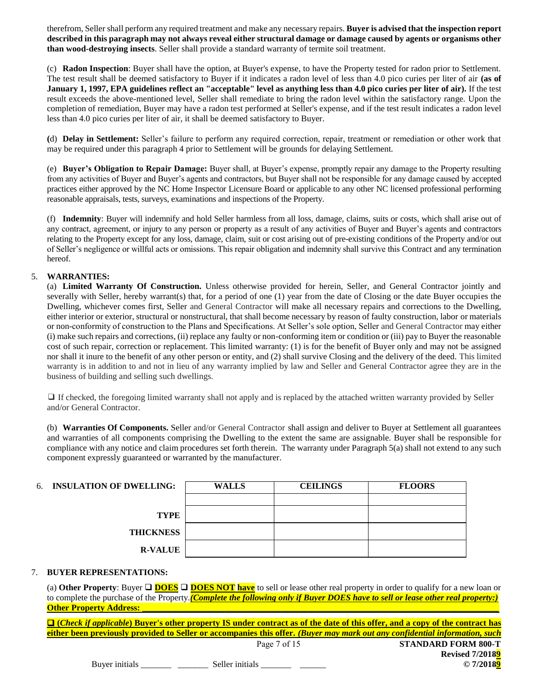therefrom, Seller shall perform any required treatment and make any necessary repairs. **Buyer is advised that the inspection report described in this paragraph may not always reveal either structural damage or damage caused by agents or organisms other than wood-destroying insects**. Seller shall provide a standard warranty of termite soil treatment.

(c) **Radon Inspection**: Buyer shall have the option, at Buyer's expense, to have the Property tested for radon prior to Settlement. The test result shall be deemed satisfactory to Buyer if it indicates a radon level of less than 4.0 pico curies per liter of air **(as of January 1, 1997, EPA guidelines reflect an "acceptable" level as anything less than 4.0 pico curies per liter of air).** If the test result exceeds the above-mentioned level, Seller shall remediate to bring the radon level within the satisfactory range. Upon the completion of remediation, Buyer may have a radon test performed at Seller's expense, and if the test result indicates a radon level less than 4.0 pico curies per liter of air, it shall be deemed satisfactory to Buyer.

**(**d) **Delay in Settlement:** Seller's failure to perform any required correction, repair, treatment or remediation or other work that may be required under this paragraph 4 prior to Settlement will be grounds for delaying Settlement.

(e) **Buyer's Obligation to Repair Damage:** Buyer shall, at Buyer's expense, promptly repair any damage to the Property resulting from any activities of Buyer and Buyer's agents and contractors, but Buyer shall not be responsible for any damage caused by accepted practices either approved by the NC Home Inspector Licensure Board or applicable to any other NC licensed professional performing reasonable appraisals, tests, surveys, examinations and inspections of the Property.

(f) **Indemnity**: Buyer will indemnify and hold Seller harmless from all loss, damage, claims, suits or costs, which shall arise out of any contract, agreement, or injury to any person or property as a result of any activities of Buyer and Buyer's agents and contractors relating to the Property except for any loss, damage, claim, suit or cost arising out of pre-existing conditions of the Property and/or out of Seller's negligence or willful acts or omissions. This repair obligation and indemnity shall survive this Contract and any termination hereof.

# 5. **WARRANTIES:**

(a) **Limited Warranty Of Construction.** Unless otherwise provided for herein, Seller, and General Contractor jointly and severally with Seller, hereby warrant(s) that, for a period of one (1) year from the date of Closing or the date Buyer occupies the Dwelling, whichever comes first, Seller and General Contractor will make all necessary repairs and corrections to the Dwelling, either interior or exterior, structural or nonstructural, that shall become necessary by reason of faulty construction, labor or materials or non-conformity of construction to the Plans and Specifications. At Seller's sole option, Seller and General Contractor may either (i) make such repairs and corrections, (ii) replace any faulty or non-conforming item or condition or (iii) pay to Buyer the reasonable cost of such repair, correction or replacement. This limited warranty: (1) is for the benefit of Buyer only and may not be assigned nor shall it inure to the benefit of any other person or entity, and (2) shall survive Closing and the delivery of the deed. This limited warranty is in addition to and not in lieu of any warranty implied by law and Seller and General Contractor agree they are in the business of building and selling such dwellings.

❑ If checked, the foregoing limited warranty shall not apply and is replaced by the attached written warranty provided by Seller and/or General Contractor.

(b) **Warranties Of Components.** Seller and/or General Contractor shall assign and deliver to Buyer at Settlement all guarantees and warranties of all components comprising the Dwelling to the extent the same are assignable. Buyer shall be responsible for compliance with any notice and claim procedures set forth therein. The warranty under Paragraph 5(a) shall not extend to any such component expressly guaranteed or warranted by the manufacturer.

## 6. **INSULATION OF DWELLING: WALLS CEILINGS FLOORS**

| WELLING:         | WALLS | <b>CEILINGS</b> | <b>FLOORS</b> |
|------------------|-------|-----------------|---------------|
|                  |       |                 |               |
| <b>TYPE</b>      |       |                 |               |
| <b>THICKNESS</b> |       |                 |               |
| <b>R-VALUE</b>   |       |                 |               |
|                  |       |                 |               |

#### 7. **BUYER REPRESENTATIONS:**

(a) **Other Property**: Buyer **DOES DOES NOT have** to sell or lease other real property in order to qualify for a new loan or to complete the purchase of the Property.*(Complete the following only if Buyer DOES have to sell or lease other real property:)* **Other Property Address:** 

 Page 7 of 15 **(***Check if applicable***) Buyer's other property IS under contract as of the date of this offer, and a copy of the contract has either been previously provided to Seller or accompanies this offer.** *(Buyer may mark out any confidential information, such* 

Buyer initials \_\_\_\_\_\_\_\_\_\_\_ \_\_\_\_\_\_\_\_\_\_\_\_ Seller initials \_\_\_\_\_\_\_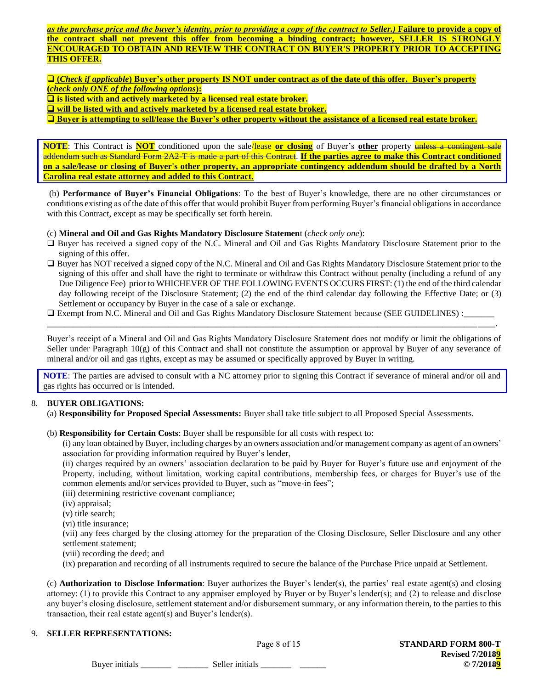*as the purchase price and the buyer's identity, prior to providing a copy of the contract to Seller.)* **Failure to provide a copy of the contract shall not prevent this offer from becoming a binding contract; however, SELLER IS STRONGLY ENCOURAGED TO OBTAIN AND REVIEW THE CONTRACT ON BUYER'S PROPERTY PRIOR TO ACCEPTING THIS OFFER.**

 **(***Check if applicable***) Buyer's other property IS NOT under contract as of the date of this offer. Buyer's property (***check only ONE of the following options***):**

**is listed with and actively marketed by a licensed real estate broker.**

**will be listed with and actively marketed by a licensed real estate broker.**

**Buyer is attempting to sell/lease the Buyer's other property without the assistance of a licensed real estate broker.**

**NOTE**: This Contract is **NOT** conditioned upon the sale/lease or closing of Buyer's other property unless a contingent sale addendum such as Standard Form 2A2-T is made a part of this Contract. **If the parties agree to make this Contract conditioned on a sale/lease or closing of Buyer's other property, an appropriate contingency addendum should be drafted by a North Carolina real estate attorney and added to this Contract.**

(b) **Performance of Buyer's Financial Obligations**: To the best of Buyer's knowledge, there are no other circumstances or conditions existing as of the date of this offer that would prohibit Buyer from performing Buyer's financial obligations in accordance with this Contract, except as may be specifically set forth herein.

(c) **Mineral and Oil and Gas Rights Mandatory Disclosure Statemen**t (*check only one*):

- Buyer has received a signed copy of the N.C. Mineral and Oil and Gas Rights Mandatory Disclosure Statement prior to the signing of this offer.
- Buyer has NOT received a signed copy of the N.C. Mineral and Oil and Gas Rights Mandatory Disclosure Statement prior to the signing of this offer and shall have the right to terminate or withdraw this Contract without penalty (including a refund of any Due Diligence Fee) prior to WHICHEVER OF THE FOLLOWING EVENTS OCCURS FIRST: (1) the end of the third calendar day following receipt of the Disclosure Statement; (2) the end of the third calendar day following the Effective Date; or (3) Settlement or occupancy by Buyer in the case of a sale or exchange.
- Exempt from N.C. Mineral and Oil and Gas Rights Mandatory Disclosure Statement because (SEE GUIDELINES) :\_\_\_\_\_\_\_

Buyer's receipt of a Mineral and Oil and Gas Rights Mandatory Disclosure Statement does not modify or limit the obligations of Seller under Paragraph  $10(g)$  of this Contract and shall not constitute the assumption or approval by Buyer of any severance of mineral and/or oil and gas rights, except as may be assumed or specifically approved by Buyer in writing.

\_\_\_\_\_\_\_\_\_\_\_\_\_\_\_\_\_\_\_\_\_\_\_\_\_\_\_\_\_\_\_\_\_\_\_\_\_\_\_\_\_\_\_\_\_\_\_\_\_\_\_\_\_\_\_\_\_\_\_\_\_\_\_\_\_\_\_\_\_\_\_\_\_\_\_\_\_\_\_\_\_\_\_\_\_\_\_\_\_\_\_\_\_\_\_\_\_\_\_\_\_\_\_.

**NOTE**: The parties are advised to consult with a NC attorney prior to signing this Contract if severance of mineral and/or oil and gas rights has occurred or is intended.

#### 8. **BUYER OBLIGATIONS:**

- (a) **Responsibility for Proposed Special Assessments:** Buyer shall take title subject to all Proposed Special Assessments.
- (b) **Responsibility for Certain Costs**: Buyer shall be responsible for all costs with respect to:

(i) any loan obtained by Buyer, including charges by an owners association and/or management company as agent of an owners' association for providing information required by Buyer's lender,

(ii) charges required by an owners' association declaration to be paid by Buyer for Buyer's future use and enjoyment of the Property, including, without limitation, working capital contributions, membership fees, or charges for Buyer's use of the common elements and/or services provided to Buyer, such as "move-in fees";

(iii) determining restrictive covenant compliance;

(iv) appraisal;

(v) title search;

(vi) title insurance;

(vii) any fees charged by the closing attorney for the preparation of the Closing Disclosure, Seller Disclosure and any other settlement statement;

(viii) recording the deed; and

(ix) preparation and recording of all instruments required to secure the balance of the Purchase Price unpaid at Settlement.

(c) **Authorization to Disclose Information**: Buyer authorizes the Buyer's lender(s), the parties' real estate agent(s) and closing attorney: (1) to provide this Contract to any appraiser employed by Buyer or by Buyer's lender(s); and (2) to release and disclose any buyer's closing disclosure, settlement statement and/or disbursement summary, or any information therein, to the parties to this transaction, their real estate agent(s) and Buyer's lender(s).

#### 9. **SELLER REPRESENTATIONS:**

Page 8 of 15

**STANDARD FORM 800-T Revised 7/20189 © 7/20189**

Buyer initials \_\_\_\_\_\_\_\_ \_\_\_\_\_\_\_\_\_\_ Seller initials \_\_\_\_\_\_\_\_ \_\_\_\_\_\_\_\_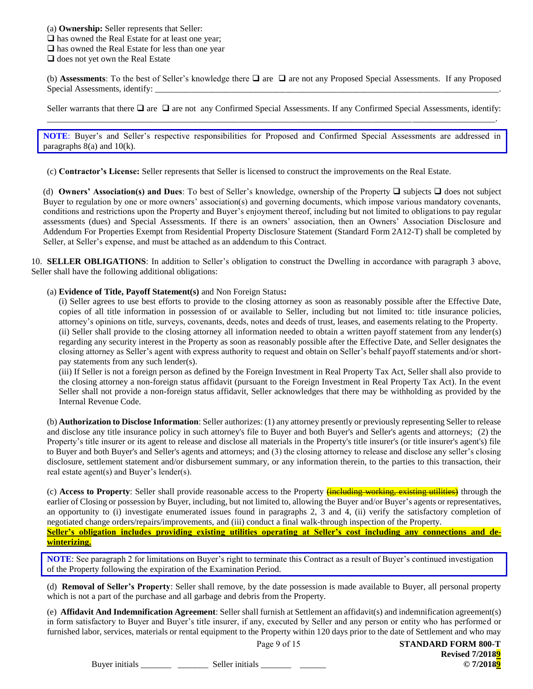(a) **Ownership:** Seller represents that Seller:

 $\Box$  has owned the Real Estate for at least one year;

 $\Box$  has owned the Real Estate for less than one year

 $\Box$  does not yet own the Real Estate

(b) **Assessments**: To the best of Seller's knowledge there  $\Box$  are  $\Box$  are not any Proposed Special Assessments. If any Proposed Special Assessments, identify:

Seller warrants that there  $\Box$  are  $\Box$  are not any Confirmed Special Assessments. If any Confirmed Special Assessments, identify: \_\_\_\_\_\_\_\_\_\_\_\_\_\_\_\_\_\_\_\_\_\_\_\_\_\_\_\_\_\_\_\_\_\_\_\_\_\_\_\_\_\_\_\_\_\_\_\_\_\_\_\_\_\_\_\_\_\_\_\_\_\_\_\_\_\_\_\_\_\_\_\_\_\_\_\_\_\_\_\_\_\_\_\_\_\_\_\_\_\_\_\_\_\_\_\_\_\_\_\_\_\_\_.

**NOTE**: Buyer's and Seller's respective responsibilities for Proposed and Confirmed Special Assessments are addressed in paragraphs  $8(a)$  and  $10(k)$ .

(c) **Contractor's License:** Seller represents that Seller is licensed to construct the improvements on the Real Estate.

(d) **Owners' Association(s) and Dues**: To best of Seller's knowledge, ownership of the Property  $\Box$  subjects  $\Box$  does not subject Buyer to regulation by one or more owners' association(s) and governing documents, which impose various mandatory covenants, conditions and restrictions upon the Property and Buyer's enjoyment thereof, including but not limited to obligations to pay regular assessments (dues) and Special Assessments. If there is an owners' association, then an Owners' Association Disclosure and Addendum For Properties Exempt from Residential Property Disclosure Statement (Standard Form 2A12-T) shall be completed by Seller, at Seller's expense, and must be attached as an addendum to this Contract.

10. **SELLER OBLIGATIONS**: In addition to Seller's obligation to construct the Dwelling in accordance with paragraph 3 above, Seller shall have the following additional obligations:

(a) **Evidence of Title, Payoff Statement(s)** and Non Foreign Status**:**

(i) Seller agrees to use best efforts to provide to the closing attorney as soon as reasonably possible after the Effective Date, copies of all title information in possession of or available to Seller, including but not limited to: title insurance policies, attorney's opinions on title, surveys, covenants, deeds, notes and deeds of trust, leases, and easements relating to the Property. (ii) Seller shall provide to the closing attorney all information needed to obtain a written payoff statement from any lender(s) regarding any security interest in the Property as soon as reasonably possible after the Effective Date, and Seller designates the closing attorney as Seller's agent with express authority to request and obtain on Seller's behalf payoff statements and/or shortpay statements from any such lender(s).

(iii) If Seller is not a foreign person as defined by the Foreign Investment in Real Property Tax Act, Seller shall also provide to the closing attorney a non-foreign status affidavit (pursuant to the Foreign Investment in Real Property Tax Act). In the event Seller shall not provide a non-foreign status affidavit, Seller acknowledges that there may be withholding as provided by the Internal Revenue Code.

(b) **Authorization to Disclose Information**: Seller authorizes: (1) any attorney presently or previously representing Seller to release and disclose any title insurance policy in such attorney's file to Buyer and both Buyer's and Seller's agents and attorneys; (2) the Property's title insurer or its agent to release and disclose all materials in the Property's title insurer's (or title insurer's agent's) file to Buyer and both Buyer's and Seller's agents and attorneys; and (3) the closing attorney to release and disclose any seller's closing disclosure, settlement statement and/or disbursement summary, or any information therein, to the parties to this transaction, their real estate agent(s) and Buyer's lender(s).

(c) **Access to Property**: Seller shall provide reasonable access to the Property (including working, existing utilities) through the earlier of Closing or possession by Buyer, including, but not limited to, allowing the Buyer and/or Buyer's agents or representatives, an opportunity to (i) investigate enumerated issues found in paragraphs 2, 3 and 4, (ii) verify the satisfactory completion of negotiated change orders/repairs/improvements, and (iii) conduct a final walk-through inspection of the Property. **Seller's obligation includes providing existing utilities operating at Seller's cost including any connections and dewinterizing.**

**NOTE**: See paragraph 2 for limitations on Buyer's right to terminate this Contract as a result of Buyer's continued investigation of the Property following the expiration of the Examination Period.

(d) **Removal of Seller's Property**: Seller shall remove, by the date possession is made available to Buyer, all personal property which is not a part of the purchase and all garbage and debris from the Property.

(e) **Affidavit And Indemnification Agreement**: Seller shall furnish at Settlement an affidavit(s) and indemnification agreement(s) in form satisfactory to Buyer and Buyer's title insurer, if any, executed by Seller and any person or entity who has performed or furnished labor, services, materials or rental equipment to the Property within 120 days prior to the date of Settlement and who may

Buyer initials \_\_\_\_\_\_\_\_\_ \_\_\_\_\_\_\_\_\_\_ Seller initials \_\_\_\_\_\_\_\_ \_\_\_\_\_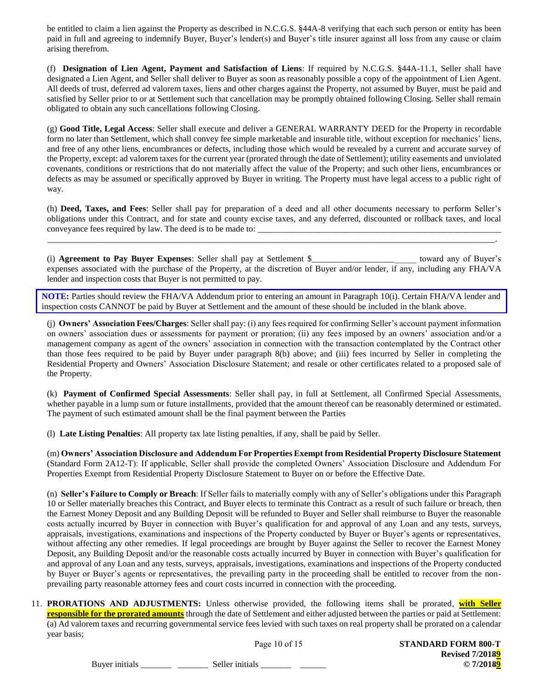be entitled to claim a lien against the Property as described in N.C.G.S. §44A-8 verifying that each such person or entity has been paid in full and agreeing to indemnify Buyer, Buyer's lender(s) and Buyer's title insurer against all loss from any cause or claim arising therefrom.

(f) **Designation of Lien Agent, Payment and Satisfaction of Liens**: If required by N.C.G.S. §44A-11.1, Seller shall have designated a Lien Agent, and Seller shall deliver to Buyer as soon as reasonably possible a copy of the appointment of Lien Agent. All deeds of trust, deferred ad valorem taxes, liens and other charges against the Property, not assumed by Buyer, must be paid and satisfied by Seller prior to or at Settlement such that cancellation may be promptly obtained following Closing. Seller shall remain obligated to obtain any such cancellations following Closing.

(g) **Good Title, Legal Access**: Seller shall execute and deliver a GENERAL WARRANTY DEED for the Property in recordable form no later than Settlement, which shall convey fee simple marketable and insurable title, without exception for mechanics' liens, and free of any other liens, encumbrances or defects, including those which would be revealed by a current and accurate survey of the Property, except: ad valorem taxes for the current year (prorated through the date of Settlement); utility easements and unviolated covenants, conditions or restrictions that do not materially affect the value of the Property; and such other liens, encumbrances or defects as may be assumed or specifically approved by Buyer in writing. The Property must have legal access to a public right of way.

(h) **Deed, Taxes, and Fees**: Seller shall pay for preparation of a deed and all other documents necessary to perform Seller's obligations under this Contract, and for state and county excise taxes, and any deferred, discounted or rollback taxes, and local conveyance fees required by law. The deed is to be made to:

\_\_\_\_\_\_\_\_\_\_\_\_\_\_\_\_\_\_\_\_\_\_\_\_\_\_\_\_\_\_\_\_\_\_\_\_\_\_\_\_\_\_\_\_\_\_\_\_\_\_\_\_\_\_\_\_\_\_\_\_\_\_\_\_\_\_\_\_\_\_\_\_\_\_\_\_\_\_\_\_\_\_\_\_\_\_\_\_\_\_\_\_\_\_\_\_\_\_\_\_\_\_\_.

(i) **Agreement to Pay Buyer Expenses**: Seller shall pay at Settlement \$\_\_\_\_\_\_\_\_\_\_\_\_\_\_\_\_\_\_\_\_\_\_\_\_ toward any of Buyer's expenses associated with the purchase of the Property, at the discretion of Buyer and/or lender, if any, including any FHA/VA lender and inspection costs that Buyer is not permitted to pay.

**NOTE:** Parties should review the FHA/VA Addendum prior to entering an amount in Paragraph 10(i). Certain FHA/VA lender and inspection costs CANNOT be paid by Buyer at Settlement and the amount of these should be included in the blank above.

(j) **Owners' Association Fees/Charges**: Seller shall pay: (i) any fees required for confirming Seller's account payment information on owners' association dues or assessments for payment or proration; (ii) any fees imposed by an owners' association and/or a management company as agent of the owners' association in connection with the transaction contemplated by the Contract other than those fees required to be paid by Buyer under paragraph 8(b) above; and (iii) fees incurred by Seller in completing the Residential Property and Owners' Association Disclosure Statement; and resale or other certificates related to a proposed sale of the Property.

(k) **Payment of Confirmed Special Assessments**: Seller shall pay, in full at Settlement, all Confirmed Special Assessments, whether payable in a lump sum or future installments, provided that the amount thereof can be reasonably determined or estimated. The payment of such estimated amount shall be the final payment between the Parties

(l) **Late Listing Penalties**: All property tax late listing penalties, if any, shall be paid by Seller.

(m) **Owners' Association Disclosure and Addendum For Properties Exempt from Residential Property Disclosure Statement** (Standard Form 2A12-T): If applicable, Seller shall provide the completed Owners' Association Disclosure and Addendum For Properties Exempt from Residential Property Disclosure Statement to Buyer on or before the Effective Date.

(n) **Seller's Failure to Comply or Breach**: If Seller fails to materially comply with any of Seller's obligations under this Paragraph 10 or Seller materially breaches this Contract, and Buyer elects to terminate this Contract as a result of such failure or breach, then the Earnest Money Deposit and any Building Deposit will be refunded to Buyer and Seller shall reimburse to Buyer the reasonable costs actually incurred by Buyer in connection with Buyer's qualification for and approval of any Loan and any tests, surveys, appraisals, investigations, examinations and inspections of the Property conducted by Buyer or Buyer's agents or representatives, without affecting any other remedies. If legal proceedings are brought by Buyer against the Seller to recover the Earnest Money Deposit, any Building Deposit and/or the reasonable costs actually incurred by Buyer in connection with Buyer's qualification for and approval of any Loan and any tests, surveys, appraisals, investigations, examinations and inspections of the Property conducted by Buyer or Buyer's agents or representatives, the prevailing party in the proceeding shall be entitled to recover from the nonprevailing party reasonable attorney fees and court costs incurred in connection with the proceeding.

11. **PRORATIONS AND ADJUSTMENTS:** Unless otherwise provided, the following items shall be prorated, **with Seller responsible for the prorated amounts** through the date of Settlement and either adjusted between the parties or paid at Settlement: (a) Ad valorem taxes and recurring governmental service fees levied with such taxes on real property shall be prorated on a calendar year basis;

Page 10 of 15

**STANDARD FORM 800-T Revised 7/20189 © 7/20189**

Buyer initials \_\_\_\_\_\_\_\_\_ \_\_\_\_\_\_\_\_\_\_\_ Seller initials \_\_\_\_\_\_\_\_ \_\_\_\_\_\_\_\_\_\_\_\_\_\_\_\_\_\_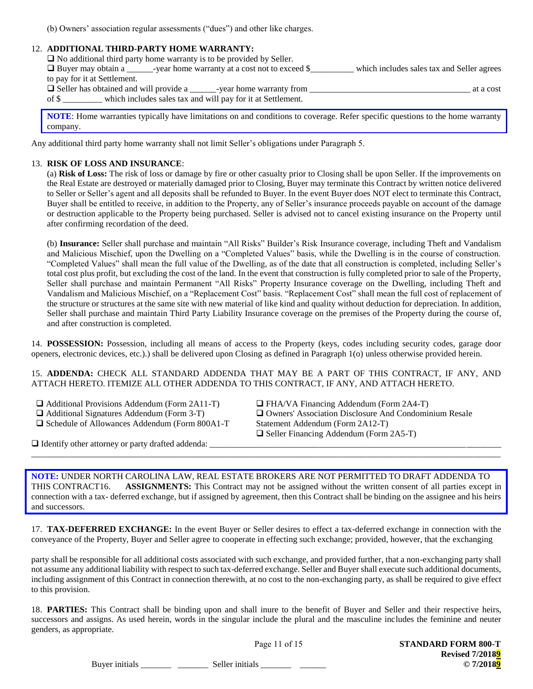(b) Owners' association regular assessments ("dues") and other like charges.

#### 12. **ADDITIONAL THIRD-PARTY HOME WARRANTY:**

 $\Box$  No additional third party home warranty is to be provided by Seller.

 Buyer may obtain a \_\_\_\_\_\_-year home warranty at a cost not to exceed \$\_\_\_\_\_\_\_\_\_\_ which includes sales tax and Seller agrees to pay for it at Settlement.

 Seller has obtained and will provide a \_\_\_\_\_\_-year home warranty from \_\_\_\_\_\_\_\_\_\_\_\_\_\_\_\_\_\_\_\_\_\_\_\_\_\_\_\_\_\_\_\_\_\_\_\_\_ at a cost of \$ \_\_\_\_\_\_\_\_\_ which includes sales tax and will pay for it at Settlement.

**NOTE**: Home warranties typically have limitations on and conditions to coverage. Refer specific questions to the home warranty company.

Any additional third party home warranty shall not limit Seller's obligations under Paragraph 5.

#### 13. **RISK OF LOSS AND INSURANCE**:

(a) **Risk of Loss:** The risk of loss or damage by fire or other casualty prior to Closing shall be upon Seller. If the improvements on the Real Estate are destroyed or materially damaged prior to Closing, Buyer may terminate this Contract by written notice delivered to Seller or Seller's agent and all deposits shall be refunded to Buyer. In the event Buyer does NOT elect to terminate this Contract, Buyer shall be entitled to receive, in addition to the Property, any of Seller's insurance proceeds payable on account of the damage or destruction applicable to the Property being purchased. Seller is advised not to cancel existing insurance on the Property until after confirming recordation of the deed.

(b) **Insurance:** Seller shall purchase and maintain "All Risks" Builder's Risk Insurance coverage, including Theft and Vandalism and Malicious Mischief, upon the Dwelling on a "Completed Values" basis, while the Dwelling is in the course of construction. "Completed Values" shall mean the full value of the Dwelling, as of the date that all construction is completed, including Seller's total cost plus profit, but excluding the cost of the land. In the event that construction is fully completed prior to sale of the Property, Seller shall purchase and maintain Permanent "All Risks" Property Insurance coverage on the Dwelling, including Theft and Vandalism and Malicious Mischief, on a "Replacement Cost" basis. "Replacement Cost" shall mean the full cost of replacement of the structure or structures at the same site with new material of like kind and quality without deduction for depreciation. In addition, Seller shall purchase and maintain Third Party Liability Insurance coverage on the premises of the Property during the course of, and after construction is completed.

14. **POSSESSION:** Possession, including all means of access to the Property (keys, codes including security codes, garage door openers, electronic devices, etc.).) shall be delivered upon Closing as defined in Paragraph 1(o) unless otherwise provided herein.

15. **ADDENDA:** CHECK ALL STANDARD ADDENDA THAT MAY BE A PART OF THIS CONTRACT, IF ANY, AND ATTACH HERETO. ITEMIZE ALL OTHER ADDENDA TO THIS CONTRACT, IF ANY, AND ATTACH HERETO.

□ Additional Provisions Addendum (Form 2A11-T) Additional Signatures Addendum (Form 3-T)

□ Schedule of Allowances Addendum (Form 800A1-T)

□ FHA/VA Financing Addendum (Form 2A4-T) Owners' Association Disclosure And Condominium Resale Statement Addendum (Form 2A12-T)  $\Box$  Seller Financing Addendum (Form 2A5-T)

 $\Box$  Identify other attorney or party drafted addenda:  $\Box$ 

**NOTE:** UNDER NORTH CAROLINA LAW, REAL ESTATE BROKERS ARE NOT PERMITTED TO DRAFT ADDENDA TO THIS CONTRACT16. **ASSIGNMENTS:** This Contract may not be assigned without the written consent of all parties except in connection with a tax- deferred exchange, but if assigned by agreement, then this Contract shall be binding on the assignee and his heirs and successors.

\_\_\_\_\_\_\_\_\_\_\_\_\_\_\_\_\_\_\_\_\_\_\_\_\_\_\_\_\_\_\_\_\_\_\_\_\_\_\_\_\_\_\_\_\_\_\_\_\_\_\_\_\_\_\_\_\_\_\_\_\_\_\_\_\_\_\_\_\_\_\_\_\_\_\_\_\_\_\_\_\_\_\_\_\_\_\_\_\_\_\_\_\_\_\_\_\_\_\_\_\_\_\_\_\_\_\_\_

17. **TAX-DEFERRED EXCHANGE:** In the event Buyer or Seller desires to effect a tax-deferred exchange in connection with the conveyance of the Property, Buyer and Seller agree to cooperate in effecting such exchange; provided, however, that the exchanging

party shall be responsible for all additional costs associated with such exchange, and provided further, that a non-exchanging party shall not assume any additional liability with respect to such tax-deferred exchange. Seller and Buyer shall execute such additional documents, including assignment of this Contract in connection therewith, at no cost to the non-exchanging party, as shall be required to give effect to this provision.

18. **PARTIES:** This Contract shall be binding upon and shall inure to the benefit of Buyer and Seller and their respective heirs, successors and assigns. As used herein, words in the singular include the plural and the masculine includes the feminine and neuter genders, as appropriate.

Page 11 of 15

**STANDARD FORM 800-T Revised 7/20189 © 7/20189**

Buyer initials \_\_\_\_\_\_\_\_\_ \_\_\_\_\_\_\_\_\_\_ Seller initials \_\_\_\_\_\_\_\_ \_\_\_\_\_\_\_\_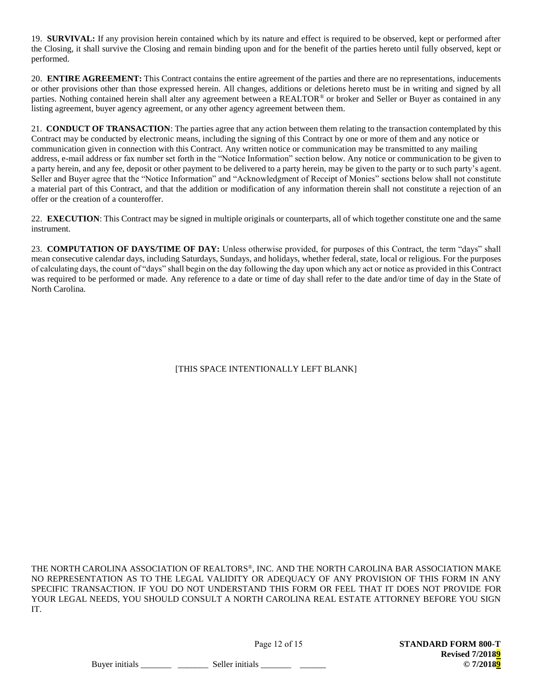19. **SURVIVAL:** If any provision herein contained which by its nature and effect is required to be observed, kept or performed after the Closing, it shall survive the Closing and remain binding upon and for the benefit of the parties hereto until fully observed, kept or performed.

20. **ENTIRE AGREEMENT:** This Contract contains the entire agreement of the parties and there are no representations, inducements or other provisions other than those expressed herein. All changes, additions or deletions hereto must be in writing and signed by all parties. Nothing contained herein shall alter any agreement between a REALTOR® or broker and Seller or Buyer as contained in any listing agreement, buyer agency agreement, or any other agency agreement between them.

21. **CONDUCT OF TRANSACTION**: The parties agree that any action between them relating to the transaction contemplated by this Contract may be conducted by electronic means, including the signing of this Contract by one or more of them and any notice or communication given in connection with this Contract. Any written notice or communication may be transmitted to any mailing address, e-mail address or fax number set forth in the "Notice Information" section below. Any notice or communication to be given to a party herein, and any fee, deposit or other payment to be delivered to a party herein, may be given to the party or to such party's agent. Seller and Buyer agree that the "Notice Information" and "Acknowledgment of Receipt of Monies" sections below shall not constitute a material part of this Contract, and that the addition or modification of any information therein shall not constitute a rejection of an offer or the creation of a counteroffer.

22. **EXECUTION**: This Contract may be signed in multiple originals or counterparts, all of which together constitute one and the same instrument.

23. **COMPUTATION OF DAYS/TIME OF DAY:** Unless otherwise provided, for purposes of this Contract, the term "days" shall mean consecutive calendar days, including Saturdays, Sundays, and holidays, whether federal, state, local or religious. For the purposes of calculating days, the count of "days" shall begin on the day following the day upon which any act or notice as provided in this Contract was required to be performed or made. Any reference to a date or time of day shall refer to the date and/or time of day in the State of North Carolina.

# [THIS SPACE INTENTIONALLY LEFT BLANK]

THE NORTH CAROLINA ASSOCIATION OF REALTORS®, INC. AND THE NORTH CAROLINA BAR ASSOCIATION MAKE NO REPRESENTATION AS TO THE LEGAL VALIDITY OR ADEQUACY OF ANY PROVISION OF THIS FORM IN ANY SPECIFIC TRANSACTION. IF YOU DO NOT UNDERSTAND THIS FORM OR FEEL THAT IT DOES NOT PROVIDE FOR YOUR LEGAL NEEDS, YOU SHOULD CONSULT A NORTH CAROLINA REAL ESTATE ATTORNEY BEFORE YOU SIGN IT.

Page 12 of 15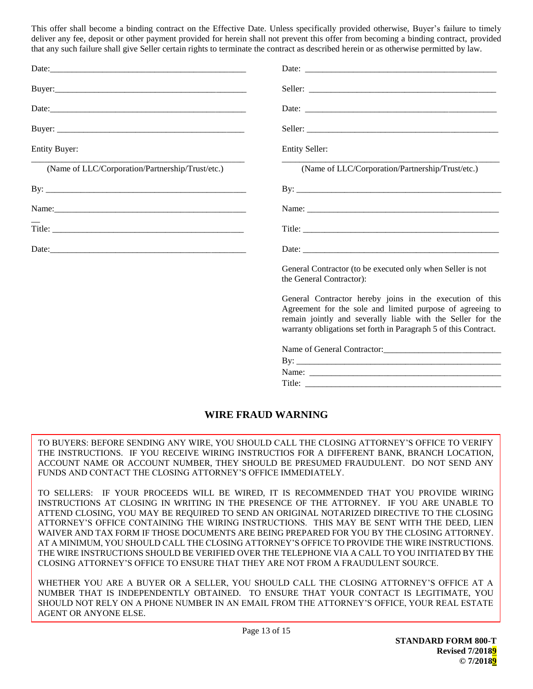This offer shall become a binding contract on the Effective Date. Unless specifically provided otherwise, Buyer's failure to timely deliver any fee, deposit or other payment provided for herein shall not prevent this offer from becoming a binding contract, provided that any such failure shall give Seller certain rights to terminate the contract as described herein or as otherwise permitted by law.

| Date:                                            |                                                                                                                                                                                                                                                         |
|--------------------------------------------------|---------------------------------------------------------------------------------------------------------------------------------------------------------------------------------------------------------------------------------------------------------|
|                                                  |                                                                                                                                                                                                                                                         |
| <b>Entity Buyer:</b>                             | <b>Entity Seller:</b>                                                                                                                                                                                                                                   |
| (Name of LLC/Corporation/Partnership/Trust/etc.) | (Name of LLC/Corporation/Partnership/Trust/etc.)                                                                                                                                                                                                        |
|                                                  |                                                                                                                                                                                                                                                         |
|                                                  |                                                                                                                                                                                                                                                         |
|                                                  |                                                                                                                                                                                                                                                         |
|                                                  |                                                                                                                                                                                                                                                         |
|                                                  | General Contractor (to be executed only when Seller is not<br>the General Contractor):                                                                                                                                                                  |
|                                                  | General Contractor hereby joins in the execution of this<br>Agreement for the sole and limited purpose of agreeing to<br>remain jointly and severally liable with the Seller for the<br>warranty obligations set forth in Paragraph 5 of this Contract. |
|                                                  |                                                                                                                                                                                                                                                         |
|                                                  | By: $\overline{\phantom{a}}$                                                                                                                                                                                                                            |
|                                                  |                                                                                                                                                                                                                                                         |
|                                                  |                                                                                                                                                                                                                                                         |

# **WIRE FRAUD WARNING**

TO BUYERS: BEFORE SENDING ANY WIRE, YOU SHOULD CALL THE CLOSING ATTORNEY'S OFFICE TO VERIFY THE INSTRUCTIONS. IF YOU RECEIVE WIRING INSTRUCTIOS FOR A DIFFERENT BANK, BRANCH LOCATION, ACCOUNT NAME OR ACCOUNT NUMBER, THEY SHOULD BE PRESUMED FRAUDULENT. DO NOT SEND ANY FUNDS AND CONTACT THE CLOSING ATTORNEY'S OFFICE IMMEDIATELY.

TO SELLERS: IF YOUR PROCEEDS WILL BE WIRED, IT IS RECOMMENDED THAT YOU PROVIDE WIRING INSTRUCTIONS AT CLOSING IN WRITING IN THE PRESENCE OF THE ATTORNEY. IF YOU ARE UNABLE TO ATTEND CLOSING, YOU MAY BE REQUIRED TO SEND AN ORIGINAL NOTARIZED DIRECTIVE TO THE CLOSING ATTORNEY'S OFFICE CONTAINING THE WIRING INSTRUCTIONS. THIS MAY BE SENT WITH THE DEED, LIEN WAIVER AND TAX FORM IF THOSE DOCUMENTS ARE BEING PREPARED FOR YOU BY THE CLOSING ATTORNEY. AT A MINIMUM, YOU SHOULD CALL THE CLOSING ATTORNEY'S OFFICE TO PROVIDE THE WIRE INSTRUCTIONS. THE WIRE INSTRUCTIONS SHOULD BE VERIFIED OVER THE TELEPHONE VIA A CALL TO YOU INITIATED BY THE CLOSING ATTORNEY'S OFFICE TO ENSURE THAT THEY ARE NOT FROM A FRAUDULENT SOURCE.

WHETHER YOU ARE A BUYER OR A SELLER, YOU SHOULD CALL THE CLOSING ATTORNEY'S OFFICE AT A NUMBER THAT IS INDEPENDENTLY OBTAINED. TO ENSURE THAT YOUR CONTACT IS LEGITIMATE, YOU SHOULD NOT RELY ON A PHONE NUMBER IN AN EMAIL FROM THE ATTORNEY'S OFFICE, YOUR REAL ESTATE AGENT OR ANYONE ELSE.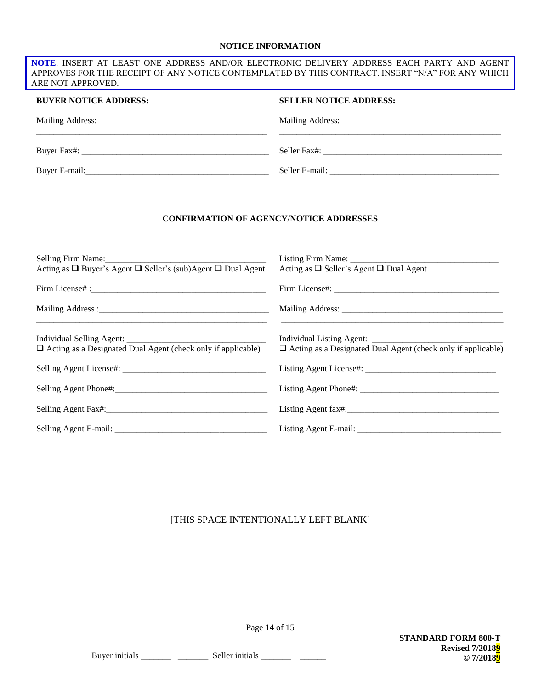#### **NOTICE INFORMATION**

| <b>BUYER NOTICE ADDRESS:</b>                                                                               | <b>SELLER NOTICE ADDRESS:</b>                                  |
|------------------------------------------------------------------------------------------------------------|----------------------------------------------------------------|
|                                                                                                            |                                                                |
|                                                                                                            |                                                                |
|                                                                                                            |                                                                |
| <b>CONFIRMATION OF AGENCY/NOTICE ADDRESSES</b>                                                             |                                                                |
| Selling Firm Name:<br>Acting as $\square$ Buyer's Agent $\square$ Seller's (sub)Agent $\square$ Dual Agent | Acting as $\square$ Seller's Agent $\square$ Dual Agent        |
|                                                                                                            |                                                                |
|                                                                                                            |                                                                |
| □ Acting as a Designated Dual Agent (check only if applicable)                                             | □ Acting as a Designated Dual Agent (check only if applicable) |
|                                                                                                            |                                                                |
|                                                                                                            |                                                                |
|                                                                                                            |                                                                |
|                                                                                                            |                                                                |

# [THIS SPACE INTENTIONALLY LEFT BLANK]

Buyer initials \_\_\_\_\_\_\_\_\_\_ \_\_\_\_\_\_\_\_\_\_\_\_\_ Seller initials \_\_\_\_\_\_\_\_\_ \_\_\_\_\_\_\_\_\_\_\_\_\_\_

Page 14 of 15